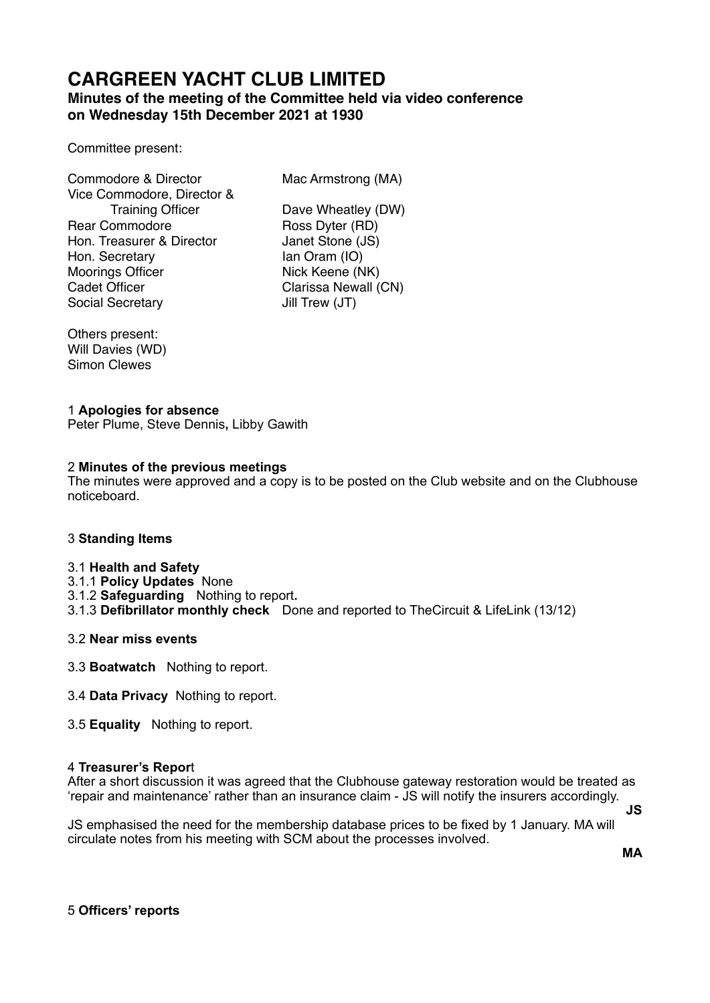# **CARGREEN YACHT CLUB LIMITED**

# **Minutes of the meeting of the Committee held via video conference on Wednesday 15th December 2021 at 1930**

Committee present:

Commodore & Director Mac Armstrong (MA) Vice Commodore, Director & Rear Commodore Ross Dyter (RD) Hon. Treasurer & Director Janet Stone (JS) Hon. Secretary Ian Oram (IO) Moorings Officer Nick Keene (NK) Cadet Officer **Cancer Clarissa Newall (CN)** Social Secretary **Jill Trew (JT)** 

Training Officer Dave Wheatley (DW)

Others present: Will Davies (WD) Simon Clewes

## 1 **Apologies for absence**

Peter Plume, Steve Dennis**,** Libby Gawith

## 2 **Minutes of the previous meetings**

The minutes were approved and a copy is to be posted on the Club website and on the Clubhouse noticeboard.

#### 3 **Standing Items**

#### 3.1 **Health and Safety**

- 3.1.1 **Policy Updates** None
- 3.1.2 **Safeguarding** Nothing to report**.**
- 3.1.3 **Defibrillator monthly check** Done and reported to TheCircuit & LifeLink (13/12)

#### 3.2 **Near miss events**

- 3.3 **Boatwatch** Nothing to report.
- 3.4 **Data Privacy** Nothing to report.
- 3.5 **Equality** Nothing to report.

#### 4 **Treasurer's Repor**t

After a short discussion it was agreed that the Clubhouse gateway restoration would be treated as 'repair and maintenance' rather than an insurance claim - JS will notify the insurers accordingly. **JS** 

JS emphasised the need for the membership database prices to be fixed by 1 January. MA will circulate notes from his meeting with SCM about the processes involved.

**MA** 

5 **Officers' reports**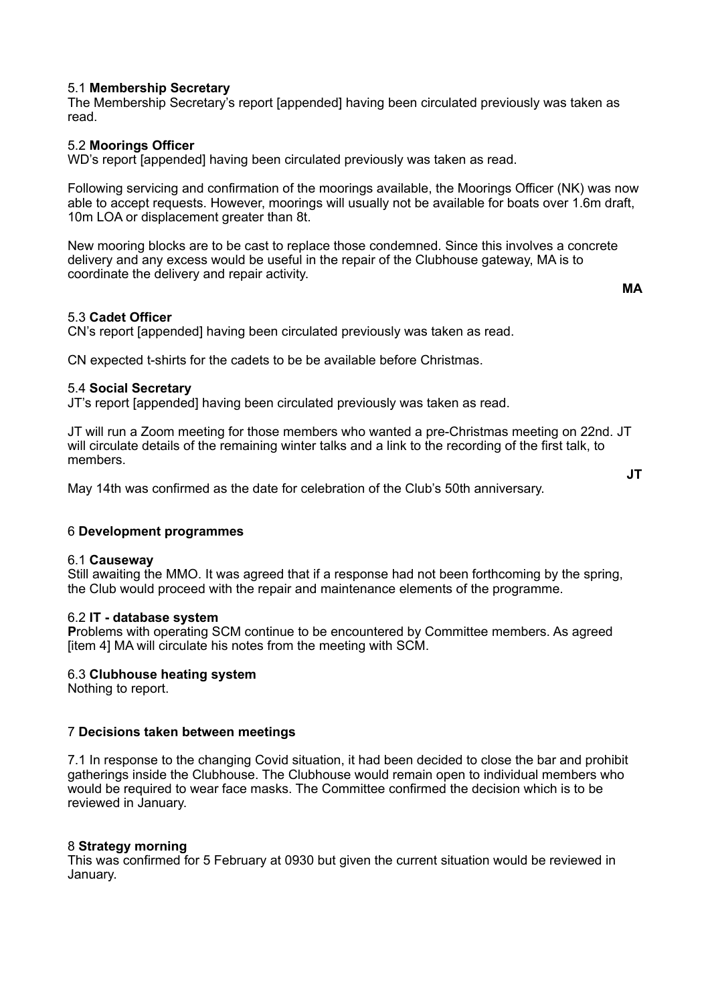## 5.1 **Membership Secretary**

The Membership Secretary's report [appended] having been circulated previously was taken as read.

## 5.2 **Moorings Officer**

WD's report [appended] having been circulated previously was taken as read.

Following servicing and confirmation of the moorings available, the Moorings Officer (NK) was now able to accept requests. However, moorings will usually not be available for boats over 1.6m draft, 10m LOA or displacement greater than 8t.

New mooring blocks are to be cast to replace those condemned. Since this involves a concrete delivery and any excess would be useful in the repair of the Clubhouse gateway, MA is to coordinate the delivery and repair activity.

**MA**

#### 5.3 **Cadet Officer**

CN's report [appended] having been circulated previously was taken as read.

CN expected t-shirts for the cadets to be be available before Christmas.

#### 5.4 **Social Secretary**

JT's report [appended] having been circulated previously was taken as read.

JT will run a Zoom meeting for those members who wanted a pre-Christmas meeting on 22nd. JT will circulate details of the remaining winter talks and a link to the recording of the first talk, to members.

May 14th was confirmed as the date for celebration of the Club's 50th anniversary.

**JT**

#### 6 **Development programmes**

#### 6.1 **Causeway**

Still awaiting the MMO. It was agreed that if a response had not been forthcoming by the spring, the Club would proceed with the repair and maintenance elements of the programme.

#### 6.2 **IT - database system**

**P**roblems with operating SCM continue to be encountered by Committee members. As agreed [item 4] MA will circulate his notes from the meeting with SCM.

#### 6.3 **Clubhouse heating system**

Nothing to report.

#### 7 **Decisions taken between meetings**

7.1 In response to the changing Covid situation, it had been decided to close the bar and prohibit gatherings inside the Clubhouse. The Clubhouse would remain open to individual members who would be required to wear face masks. The Committee confirmed the decision which is to be reviewed in January.

#### 8 **Strategy morning**

This was confirmed for 5 February at 0930 but given the current situation would be reviewed in January.